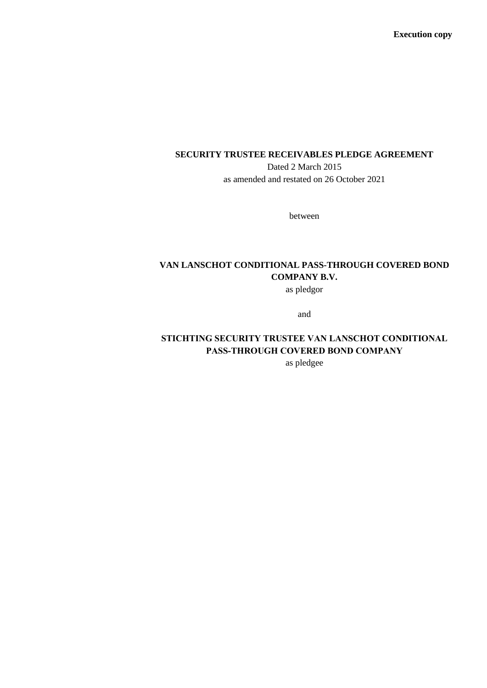**Execution copy**

## **SECURITY TRUSTEE RECEIVABLES PLEDGE AGREEMENT**

Dated 2 March 2015 as amended and restated on 26 October 2021

between

# **VAN LANSCHOT CONDITIONAL PASS-THROUGH COVERED BOND COMPANY B.V.**

as pledgor

and

# **STICHTING SECURITY TRUSTEE VAN LANSCHOT CONDITIONAL PASS-THROUGH COVERED BOND COMPANY**

as pledgee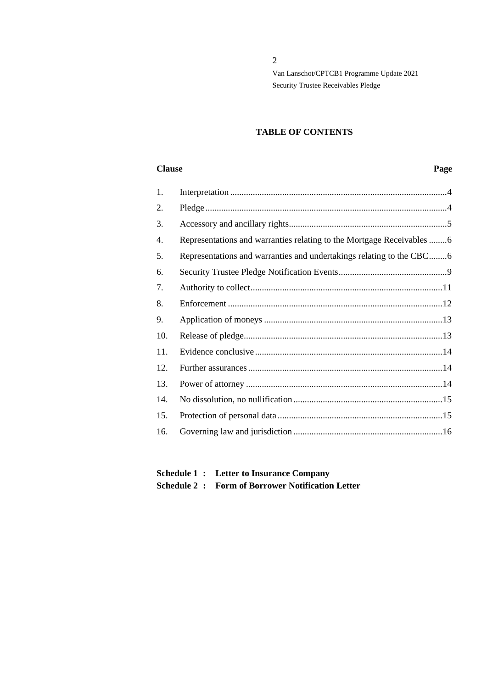## **TABLE OF CONTENTS**

#### **Clause Page**

| 1.  |                                                                        |  |
|-----|------------------------------------------------------------------------|--|
| 2.  |                                                                        |  |
| 3.  |                                                                        |  |
| 4.  | Representations and warranties relating to the Mortgage Receivables  6 |  |
| 5.  | Representations and warranties and undertakings relating to the CBC6   |  |
| 6.  |                                                                        |  |
| 7.  |                                                                        |  |
| 8.  |                                                                        |  |
| 9.  |                                                                        |  |
| 10. |                                                                        |  |
| 11. |                                                                        |  |
| 12. |                                                                        |  |
| 13. |                                                                        |  |
| 14. |                                                                        |  |
| 15. |                                                                        |  |
| 16. |                                                                        |  |
|     |                                                                        |  |

## **Schedule 1 : Letter to Insurance Company Schedule 2 : Form of Borrower Notification Letter**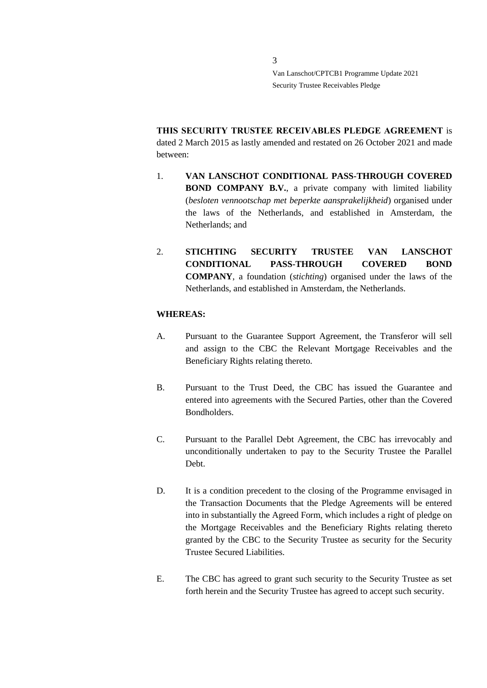**THIS SECURITY TRUSTEE RECEIVABLES PLEDGE AGREEMENT** is dated 2 March 2015 as lastly amended and restated on 26 October 2021 and made between:

- 1. **VAN LANSCHOT CONDITIONAL PASS-THROUGH COVERED BOND COMPANY B.V.**, a private company with limited liability (*besloten vennootschap met beperkte aansprakelijkheid*) organised under the laws of the Netherlands, and established in Amsterdam, the Netherlands; and
- 2. **STICHTING SECURITY TRUSTEE VAN LANSCHOT CONDITIONAL PASS-THROUGH COVERED BOND COMPANY**, a foundation (*stichting*) organised under the laws of the Netherlands, and established in Amsterdam, the Netherlands.

#### **WHEREAS:**

- A. Pursuant to the Guarantee Support Agreement, the Transferor will sell and assign to the CBC the Relevant Mortgage Receivables and the Beneficiary Rights relating thereto.
- B. Pursuant to the Trust Deed, the CBC has issued the Guarantee and entered into agreements with the Secured Parties, other than the Covered Bondholders.
- C. Pursuant to the Parallel Debt Agreement, the CBC has irrevocably and unconditionally undertaken to pay to the Security Trustee the Parallel Debt.
- D. It is a condition precedent to the closing of the Programme envisaged in the Transaction Documents that the Pledge Agreements will be entered into in substantially the Agreed Form, which includes a right of pledge on the Mortgage Receivables and the Beneficiary Rights relating thereto granted by the CBC to the Security Trustee as security for the Security Trustee Secured Liabilities.
- E. The CBC has agreed to grant such security to the Security Trustee as set forth herein and the Security Trustee has agreed to accept such security.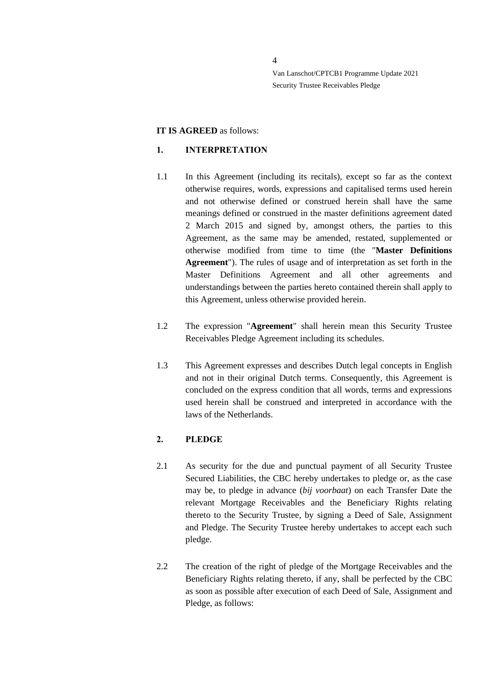#### **IT IS AGREED** as follows:

#### <span id="page-3-0"></span>**1. INTERPRETATION**

- 1.1 In this Agreement (including its recitals), except so far as the context otherwise requires, words, expressions and capitalised terms used herein and not otherwise defined or construed herein shall have the same meanings defined or construed in the master definitions agreement dated 2 March 2015 and signed by, amongst others, the parties to this Agreement, as the same may be amended, restated, supplemented or otherwise modified from time to time (the "**Master Definitions Agreement**"). The rules of usage and of interpretation as set forth in the Master Definitions Agreement and all other agreements and understandings between the parties hereto contained therein shall apply to this Agreement, unless otherwise provided herein.
- 1.2 The expression "**Agreement**" shall herein mean this Security Trustee Receivables Pledge Agreement including its schedules.
- 1.3 This Agreement expresses and describes Dutch legal concepts in English and not in their original Dutch terms. Consequently, this Agreement is concluded on the express condition that all words, terms and expressions used herein shall be construed and interpreted in accordance with the laws of the Netherlands.

## <span id="page-3-1"></span>**2. PLEDGE**

- 2.1 As security for the due and punctual payment of all Security Trustee Secured Liabilities, the CBC hereby undertakes to pledge or, as the case may be, to pledge in advance (*bij voorbaat*) on each Transfer Date the relevant Mortgage Receivables and the Beneficiary Rights relating thereto to the Security Trustee, by signing a Deed of Sale, Assignment and Pledge. The Security Trustee hereby undertakes to accept each such pledge.
- 2.2 The creation of the right of pledge of the Mortgage Receivables and the Beneficiary Rights relating thereto, if any, shall be perfected by the CBC as soon as possible after execution of each Deed of Sale, Assignment and Pledge, as follows: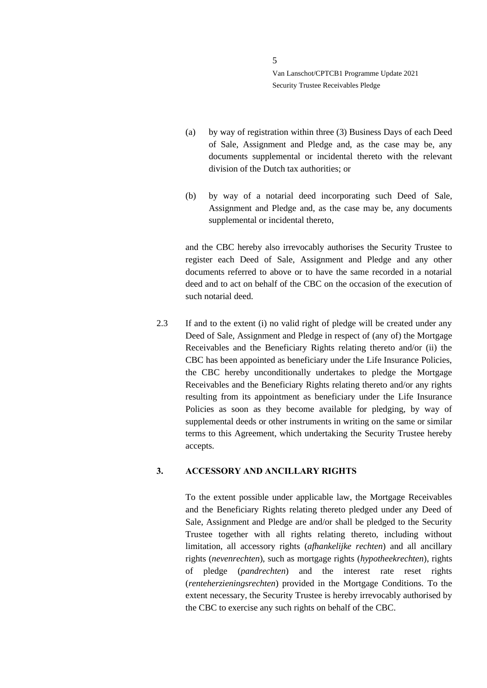- (a) by way of registration within three (3) Business Days of each Deed of Sale, Assignment and Pledge and, as the case may be, any documents supplemental or incidental thereto with the relevant division of the Dutch tax authorities; or
- (b) by way of a notarial deed incorporating such Deed of Sale, Assignment and Pledge and, as the case may be, any documents supplemental or incidental thereto,

and the CBC hereby also irrevocably authorises the Security Trustee to register each Deed of Sale, Assignment and Pledge and any other documents referred to above or to have the same recorded in a notarial deed and to act on behalf of the CBC on the occasion of the execution of such notarial deed.

2.3 If and to the extent (i) no valid right of pledge will be created under any Deed of Sale, Assignment and Pledge in respect of (any of) the Mortgage Receivables and the Beneficiary Rights relating thereto and/or (ii) the CBC has been appointed as beneficiary under the Life Insurance Policies, the CBC hereby unconditionally undertakes to pledge the Mortgage Receivables and the Beneficiary Rights relating thereto and/or any rights resulting from its appointment as beneficiary under the Life Insurance Policies as soon as they become available for pledging, by way of supplemental deeds or other instruments in writing on the same or similar terms to this Agreement, which undertaking the Security Trustee hereby accepts.

### <span id="page-4-0"></span>**3. ACCESSORY AND ANCILLARY RIGHTS**

To the extent possible under applicable law, the Mortgage Receivables and the Beneficiary Rights relating thereto pledged under any Deed of Sale, Assignment and Pledge are and/or shall be pledged to the Security Trustee together with all rights relating thereto, including without limitation, all accessory rights (*afhankelijke rechten*) and all ancillary rights (*nevenrechten*), such as mortgage rights (*hypotheekrechten*), rights of pledge (*pandrechten*) and the interest rate reset rights (*renteherzieningsrechten*) provided in the Mortgage Conditions. To the extent necessary, the Security Trustee is hereby irrevocably authorised by the CBC to exercise any such rights on behalf of the CBC.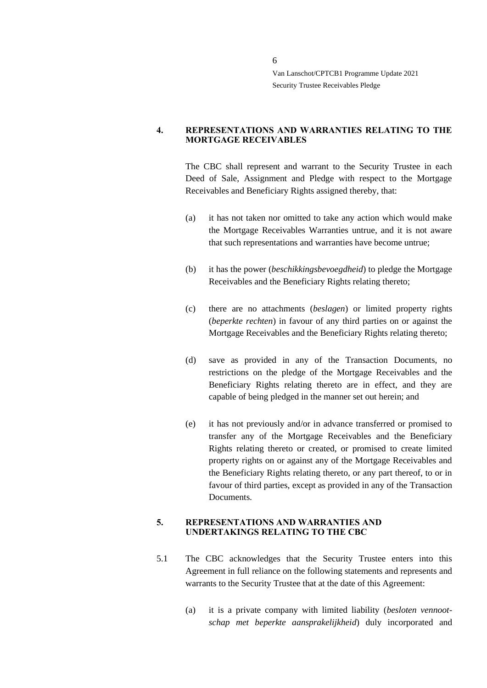#### <span id="page-5-0"></span>**4. REPRESENTATIONS AND WARRANTIES RELATING TO THE MORTGAGE RECEIVABLES**

The CBC shall represent and warrant to the Security Trustee in each Deed of Sale, Assignment and Pledge with respect to the Mortgage Receivables and Beneficiary Rights assigned thereby, that:

- (a) it has not taken nor omitted to take any action which would make the Mortgage Receivables Warranties untrue, and it is not aware that such representations and warranties have become untrue;
- (b) it has the power (*beschikkingsbevoegdheid*) to pledge the Mortgage Receivables and the Beneficiary Rights relating thereto;
- (c) there are no attachments (*beslagen*) or limited property rights (*beperkte rechten*) in favour of any third parties on or against the Mortgage Receivables and the Beneficiary Rights relating thereto;
- (d) save as provided in any of the Transaction Documents, no restrictions on the pledge of the Mortgage Receivables and the Beneficiary Rights relating thereto are in effect, and they are capable of being pledged in the manner set out herein; and
- (e) it has not previously and/or in advance transferred or promised to transfer any of the Mortgage Receivables and the Beneficiary Rights relating thereto or created, or promised to create limited property rights on or against any of the Mortgage Receivables and the Beneficiary Rights relating thereto, or any part thereof, to or in favour of third parties, except as provided in any of the Transaction Documents.

#### <span id="page-5-1"></span>**5. REPRESENTATIONS AND WARRANTIES AND UNDERTAKINGS RELATING TO THE CBC**

- 5.1 The CBC acknowledges that the Security Trustee enters into this Agreement in full reliance on the following statements and represents and warrants to the Security Trustee that at the date of this Agreement:
	- (a) it is a private company with limited liability (*besloten vennootschap met beperkte aansprakelijkheid*) duly incorporated and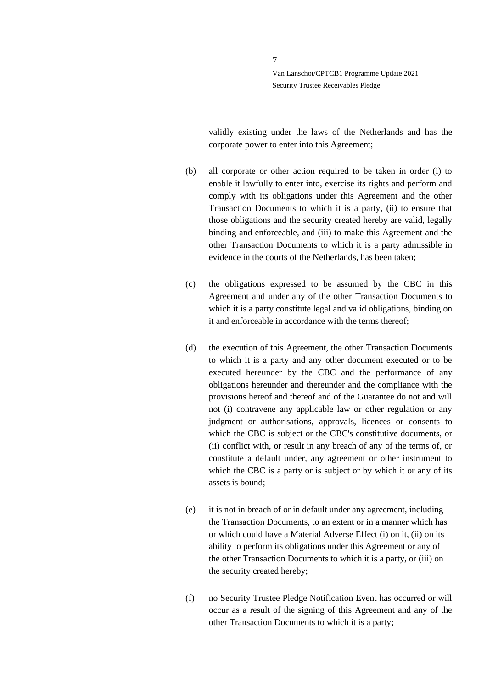validly existing under the laws of the Netherlands and has the corporate power to enter into this Agreement;

- (b) all corporate or other action required to be taken in order (i) to enable it lawfully to enter into, exercise its rights and perform and comply with its obligations under this Agreement and the other Transaction Documents to which it is a party, (ii) to ensure that those obligations and the security created hereby are valid, legally binding and enforceable, and (iii) to make this Agreement and the other Transaction Documents to which it is a party admissible in evidence in the courts of the Netherlands, has been taken;
- (c) the obligations expressed to be assumed by the CBC in this Agreement and under any of the other Transaction Documents to which it is a party constitute legal and valid obligations, binding on it and enforceable in accordance with the terms thereof;
- (d) the execution of this Agreement, the other Transaction Documents to which it is a party and any other document executed or to be executed hereunder by the CBC and the performance of any obligations hereunder and thereunder and the compliance with the provisions hereof and thereof and of the Guarantee do not and will not (i) contravene any applicable law or other regulation or any judgment or authorisations, approvals, licences or consents to which the CBC is subject or the CBC's constitutive documents, or (ii) conflict with, or result in any breach of any of the terms of, or constitute a default under, any agreement or other instrument to which the CBC is a party or is subject or by which it or any of its assets is bound;
- (e) it is not in breach of or in default under any agreement, including the Transaction Documents, to an extent or in a manner which has or which could have a Material Adverse Effect (i) on it, (ii) on its ability to perform its obligations under this Agreement or any of the other Transaction Documents to which it is a party, or (iii) on the security created hereby;
- (f) no Security Trustee Pledge Notification Event has occurred or will occur as a result of the signing of this Agreement and any of the other Transaction Documents to which it is a party;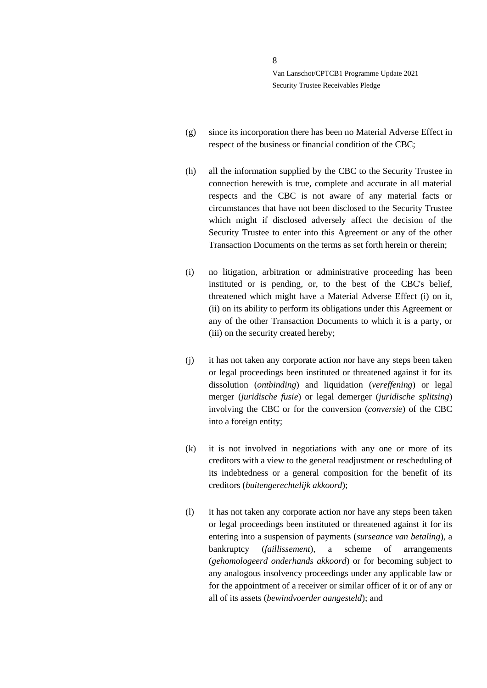- (g) since its incorporation there has been no Material Adverse Effect in respect of the business or financial condition of the CBC;
- (h) all the information supplied by the CBC to the Security Trustee in connection herewith is true, complete and accurate in all material respects and the CBC is not aware of any material facts or circumstances that have not been disclosed to the Security Trustee which might if disclosed adversely affect the decision of the Security Trustee to enter into this Agreement or any of the other Transaction Documents on the terms as set forth herein or therein;
- (i) no litigation, arbitration or administrative proceeding has been instituted or is pending, or, to the best of the CBC's belief, threatened which might have a Material Adverse Effect (i) on it, (ii) on its ability to perform its obligations under this Agreement or any of the other Transaction Documents to which it is a party, or (iii) on the security created hereby;
- (j) it has not taken any corporate action nor have any steps been taken or legal proceedings been instituted or threatened against it for its dissolution (*ontbinding*) and liquidation (*vereffening*) or legal merger (*juridische fusie*) or legal demerger (*juridische splitsing*) involving the CBC or for the conversion (*conversie*) of the CBC into a foreign entity;
- (k) it is not involved in negotiations with any one or more of its creditors with a view to the general readjustment or rescheduling of its indebtedness or a general composition for the benefit of its creditors (*buitengerechtelijk akkoord*);
- (l) it has not taken any corporate action nor have any steps been taken or legal proceedings been instituted or threatened against it for its entering into a suspension of payments (*surseance van betaling*), a bankruptcy (*faillissement*), a scheme of arrangements (*gehomologeerd onderhands akkoord*) or for becoming subject to any analogous insolvency proceedings under any applicable law or for the appointment of a receiver or similar officer of it or of any or all of its assets (*bewindvoerder aangesteld*); and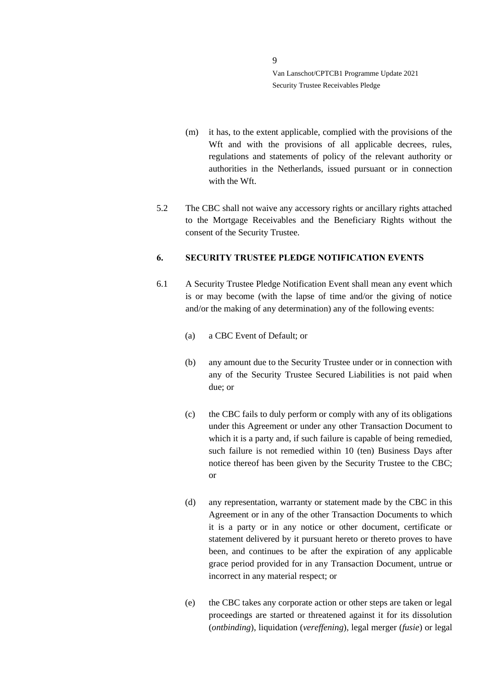- (m) it has, to the extent applicable, complied with the provisions of the Wft and with the provisions of all applicable decrees, rules, regulations and statements of policy of the relevant authority or authorities in the Netherlands, issued pursuant or in connection with the Wft.
- 5.2 The CBC shall not waive any accessory rights or ancillary rights attached to the Mortgage Receivables and the Beneficiary Rights without the consent of the Security Trustee.

#### <span id="page-8-0"></span>**6. SECURITY TRUSTEE PLEDGE NOTIFICATION EVENTS**

- 6.1 A Security Trustee Pledge Notification Event shall mean any event which is or may become (with the lapse of time and/or the giving of notice and/or the making of any determination) any of the following events:
	- (a) a CBC Event of Default; or
	- (b) any amount due to the Security Trustee under or in connection with any of the Security Trustee Secured Liabilities is not paid when due; or
	- (c) the CBC fails to duly perform or comply with any of its obligations under this Agreement or under any other Transaction Document to which it is a party and, if such failure is capable of being remedied, such failure is not remedied within 10 (ten) Business Days after notice thereof has been given by the Security Trustee to the CBC; or
	- (d) any representation, warranty or statement made by the CBC in this Agreement or in any of the other Transaction Documents to which it is a party or in any notice or other document, certificate or statement delivered by it pursuant hereto or thereto proves to have been, and continues to be after the expiration of any applicable grace period provided for in any Transaction Document, untrue or incorrect in any material respect; or
	- (e) the CBC takes any corporate action or other steps are taken or legal proceedings are started or threatened against it for its dissolution (*ontbinding*), liquidation (*vereffening*), legal merger (*fusie*) or legal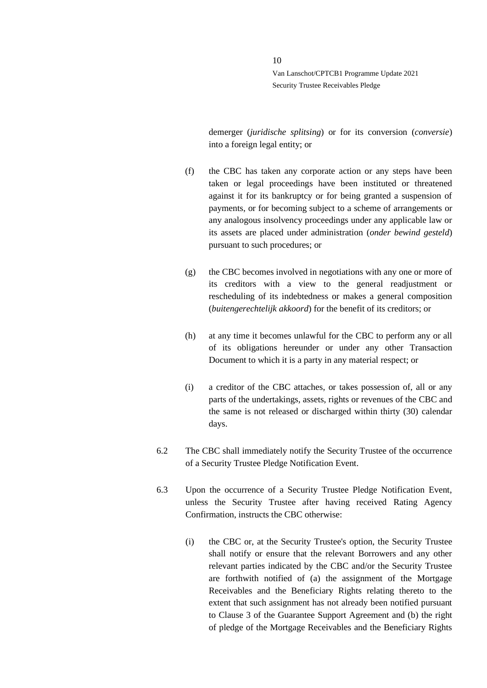demerger (*juridische splitsing*) or for its conversion (*conversie*) into a foreign legal entity; or

- (f) the CBC has taken any corporate action or any steps have been taken or legal proceedings have been instituted or threatened against it for its bankruptcy or for being granted a suspension of payments, or for becoming subject to a scheme of arrangements or any analogous insolvency proceedings under any applicable law or its assets are placed under administration (*onder bewind gesteld*) pursuant to such procedures; or
- (g) the CBC becomes involved in negotiations with any one or more of its creditors with a view to the general readjustment or rescheduling of its indebtedness or makes a general composition (*buitengerechtelijk akkoord*) for the benefit of its creditors; or
- (h) at any time it becomes unlawful for the CBC to perform any or all of its obligations hereunder or under any other Transaction Document to which it is a party in any material respect; or
- (i) a creditor of the CBC attaches, or takes possession of, all or any parts of the undertakings, assets, rights or revenues of the CBC and the same is not released or discharged within thirty (30) calendar days.
- 6.2 The CBC shall immediately notify the Security Trustee of the occurrence of a Security Trustee Pledge Notification Event.
- 6.3 Upon the occurrence of a Security Trustee Pledge Notification Event, unless the Security Trustee after having received Rating Agency Confirmation, instructs the CBC otherwise:
	- (i) the CBC or, at the Security Trustee's option, the Security Trustee shall notify or ensure that the relevant Borrowers and any other relevant parties indicated by the CBC and/or the Security Trustee are forthwith notified of (a) the assignment of the Mortgage Receivables and the Beneficiary Rights relating thereto to the extent that such assignment has not already been notified pursuant to Clause 3 of the Guarantee Support Agreement and (b) the right of pledge of the Mortgage Receivables and the Beneficiary Rights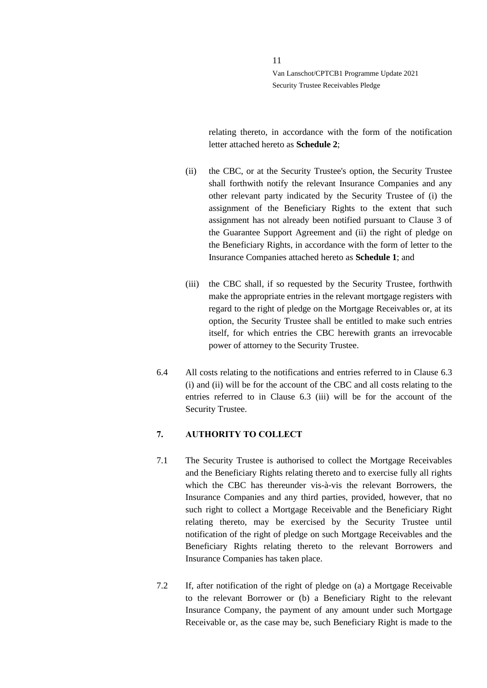relating thereto, in accordance with the form of the notification letter attached hereto as **Schedule 2**;

- (ii) the CBC, or at the Security Trustee's option, the Security Trustee shall forthwith notify the relevant Insurance Companies and any other relevant party indicated by the Security Trustee of (i) the assignment of the Beneficiary Rights to the extent that such assignment has not already been notified pursuant to Clause 3 of the Guarantee Support Agreement and (ii) the right of pledge on the Beneficiary Rights, in accordance with the form of letter to the Insurance Companies attached hereto as **Schedule 1**; and
- (iii) the CBC shall, if so requested by the Security Trustee, forthwith make the appropriate entries in the relevant mortgage registers with regard to the right of pledge on the Mortgage Receivables or, at its option, the Security Trustee shall be entitled to make such entries itself, for which entries the CBC herewith grants an irrevocable power of attorney to the Security Trustee.
- 6.4 All costs relating to the notifications and entries referred to in Clause 6.3 (i) and (ii) will be for the account of the CBC and all costs relating to the entries referred to in Clause 6.3 (iii) will be for the account of the Security Trustee.

#### <span id="page-10-0"></span>**7. AUTHORITY TO COLLECT**

- 7.1 The Security Trustee is authorised to collect the Mortgage Receivables and the Beneficiary Rights relating thereto and to exercise fully all rights which the CBC has thereunder vis-à-vis the relevant Borrowers, the Insurance Companies and any third parties, provided, however, that no such right to collect a Mortgage Receivable and the Beneficiary Right relating thereto, may be exercised by the Security Trustee until notification of the right of pledge on such Mortgage Receivables and the Beneficiary Rights relating thereto to the relevant Borrowers and Insurance Companies has taken place.
- 7.2 If, after notification of the right of pledge on (a) a Mortgage Receivable to the relevant Borrower or (b) a Beneficiary Right to the relevant Insurance Company, the payment of any amount under such Mortgage Receivable or, as the case may be, such Beneficiary Right is made to the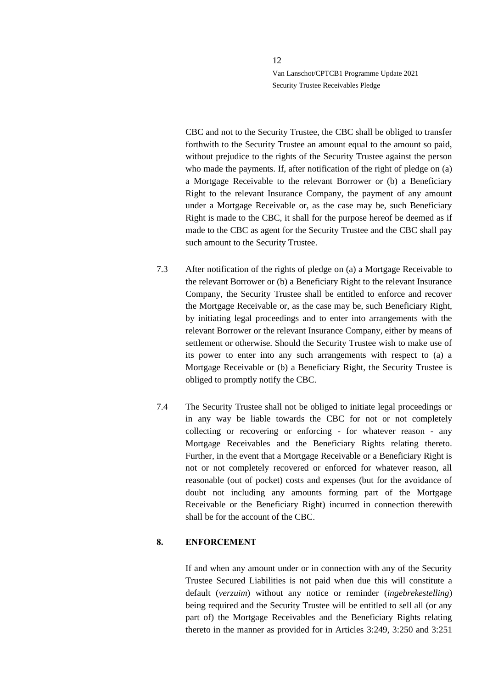CBC and not to the Security Trustee, the CBC shall be obliged to transfer forthwith to the Security Trustee an amount equal to the amount so paid, without prejudice to the rights of the Security Trustee against the person who made the payments. If, after notification of the right of pledge on (a) a Mortgage Receivable to the relevant Borrower or (b) a Beneficiary Right to the relevant Insurance Company, the payment of any amount under a Mortgage Receivable or, as the case may be, such Beneficiary Right is made to the CBC, it shall for the purpose hereof be deemed as if made to the CBC as agent for the Security Trustee and the CBC shall pay such amount to the Security Trustee.

- 7.3 After notification of the rights of pledge on (a) a Mortgage Receivable to the relevant Borrower or (b) a Beneficiary Right to the relevant Insurance Company, the Security Trustee shall be entitled to enforce and recover the Mortgage Receivable or, as the case may be, such Beneficiary Right, by initiating legal proceedings and to enter into arrangements with the relevant Borrower or the relevant Insurance Company, either by means of settlement or otherwise. Should the Security Trustee wish to make use of its power to enter into any such arrangements with respect to (a) a Mortgage Receivable or (b) a Beneficiary Right, the Security Trustee is obliged to promptly notify the CBC.
- 7.4 The Security Trustee shall not be obliged to initiate legal proceedings or in any way be liable towards the CBC for not or not completely collecting or recovering or enforcing - for whatever reason - any Mortgage Receivables and the Beneficiary Rights relating thereto. Further, in the event that a Mortgage Receivable or a Beneficiary Right is not or not completely recovered or enforced for whatever reason, all reasonable (out of pocket) costs and expenses (but for the avoidance of doubt not including any amounts forming part of the Mortgage Receivable or the Beneficiary Right) incurred in connection therewith shall be for the account of the CBC.

#### <span id="page-11-0"></span>**8. ENFORCEMENT**

If and when any amount under or in connection with any of the Security Trustee Secured Liabilities is not paid when due this will constitute a default (*verzuim*) without any notice or reminder (*ingebrekestelling*) being required and the Security Trustee will be entitled to sell all (or any part of) the Mortgage Receivables and the Beneficiary Rights relating thereto in the manner as provided for in Articles 3:249, 3:250 and 3:251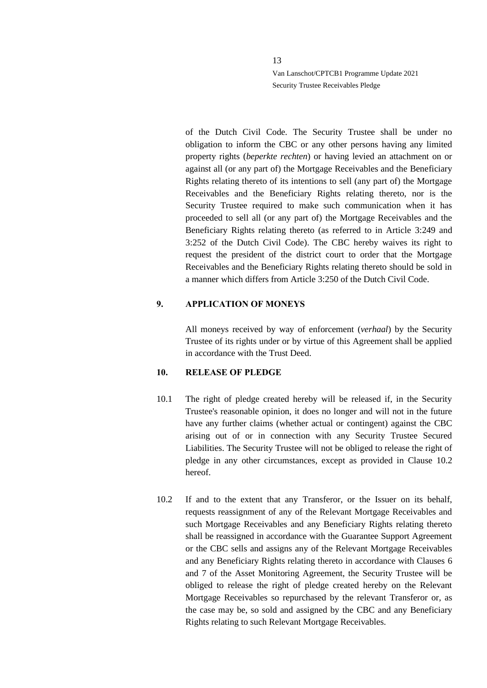of the Dutch Civil Code. The Security Trustee shall be under no obligation to inform the CBC or any other persons having any limited property rights (*beperkte rechten*) or having levied an attachment on or against all (or any part of) the Mortgage Receivables and the Beneficiary Rights relating thereto of its intentions to sell (any part of) the Mortgage Receivables and the Beneficiary Rights relating thereto, nor is the Security Trustee required to make such communication when it has proceeded to sell all (or any part of) the Mortgage Receivables and the Beneficiary Rights relating thereto (as referred to in Article 3:249 and 3:252 of the Dutch Civil Code). The CBC hereby waives its right to request the president of the district court to order that the Mortgage Receivables and the Beneficiary Rights relating thereto should be sold in a manner which differs from Article 3:250 of the Dutch Civil Code.

#### <span id="page-12-0"></span>**9. APPLICATION OF MONEYS**

All moneys received by way of enforcement (*verhaal*) by the Security Trustee of its rights under or by virtue of this Agreement shall be applied in accordance with the Trust Deed.

#### <span id="page-12-1"></span>**10. RELEASE OF PLEDGE**

- 10.1 The right of pledge created hereby will be released if, in the Security Trustee's reasonable opinion, it does no longer and will not in the future have any further claims (whether actual or contingent) against the CBC arising out of or in connection with any Security Trustee Secured Liabilities. The Security Trustee will not be obliged to release the right of pledge in any other circumstances, except as provided in Clause [10.2](#page-12-2) hereof.
- <span id="page-12-2"></span>10.2 If and to the extent that any Transferor, or the Issuer on its behalf, requests reassignment of any of the Relevant Mortgage Receivables and such Mortgage Receivables and any Beneficiary Rights relating thereto shall be reassigned in accordance with the Guarantee Support Agreement or the CBC sells and assigns any of the Relevant Mortgage Receivables and any Beneficiary Rights relating thereto in accordance with Clauses 6 and 7 of the Asset Monitoring Agreement, the Security Trustee will be obliged to release the right of pledge created hereby on the Relevant Mortgage Receivables so repurchased by the relevant Transferor or, as the case may be, so sold and assigned by the CBC and any Beneficiary Rights relating to such Relevant Mortgage Receivables.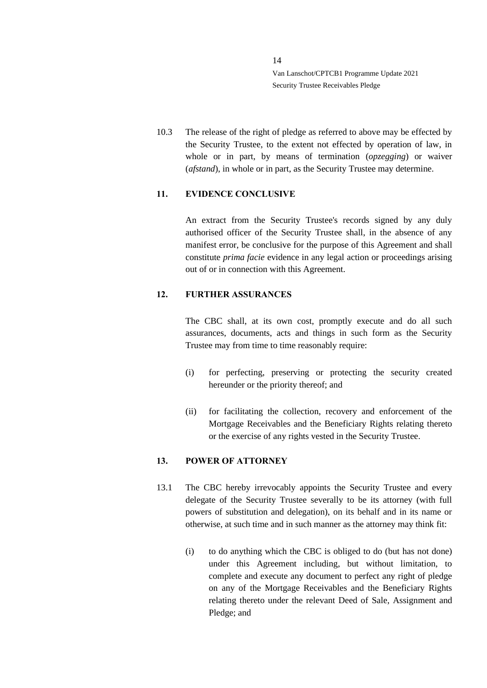10.3 The release of the right of pledge as referred to above may be effected by the Security Trustee, to the extent not effected by operation of law, in whole or in part, by means of termination (*opzegging*) or waiver (*afstand*), in whole or in part, as the Security Trustee may determine.

## <span id="page-13-0"></span>**11. EVIDENCE CONCLUSIVE**

An extract from the Security Trustee's records signed by any duly authorised officer of the Security Trustee shall, in the absence of any manifest error, be conclusive for the purpose of this Agreement and shall constitute *prima facie* evidence in any legal action or proceedings arising out of or in connection with this Agreement.

### <span id="page-13-1"></span>**12. FURTHER ASSURANCES**

The CBC shall, at its own cost, promptly execute and do all such assurances, documents, acts and things in such form as the Security Trustee may from time to time reasonably require:

- (i) for perfecting, preserving or protecting the security created hereunder or the priority thereof; and
- (ii) for facilitating the collection, recovery and enforcement of the Mortgage Receivables and the Beneficiary Rights relating thereto or the exercise of any rights vested in the Security Trustee.

#### <span id="page-13-2"></span>**13. POWER OF ATTORNEY**

- <span id="page-13-3"></span>13.1 The CBC hereby irrevocably appoints the Security Trustee and every delegate of the Security Trustee severally to be its attorney (with full powers of substitution and delegation), on its behalf and in its name or otherwise, at such time and in such manner as the attorney may think fit:
	- (i) to do anything which the CBC is obliged to do (but has not done) under this Agreement including, but without limitation, to complete and execute any document to perfect any right of pledge on any of the Mortgage Receivables and the Beneficiary Rights relating thereto under the relevant Deed of Sale, Assignment and Pledge; and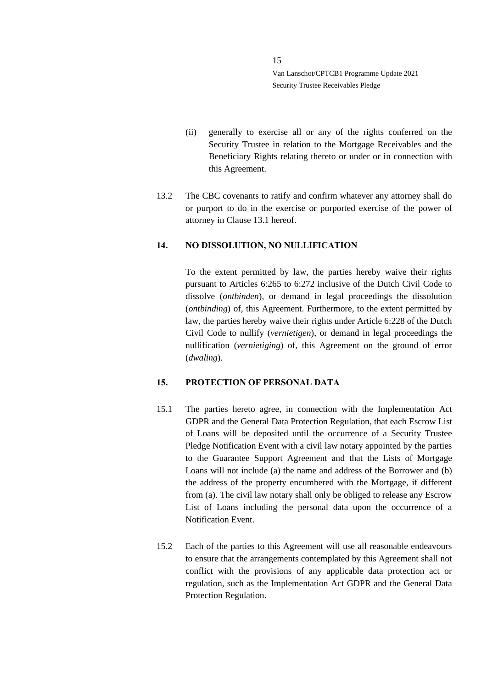- (ii) generally to exercise all or any of the rights conferred on the Security Trustee in relation to the Mortgage Receivables and the Beneficiary Rights relating thereto or under or in connection with this Agreement.
- 13.2 The CBC covenants to ratify and confirm whatever any attorney shall do or purport to do in the exercise or purported exercise of the power of attorney in Clause [13.1](#page-13-3) hereof.

#### <span id="page-14-0"></span>**14. NO DISSOLUTION, NO NULLIFICATION**

To the extent permitted by law, the parties hereby waive their rights pursuant to Articles 6:265 to 6:272 inclusive of the Dutch Civil Code to dissolve (*ontbinden*), or demand in legal proceedings the dissolution (*ontbinding*) of, this Agreement. Furthermore, to the extent permitted by law, the parties hereby waive their rights under Article 6:228 of the Dutch Civil Code to nullify (*vernietigen*), or demand in legal proceedings the nullification (*vernietiging*) of, this Agreement on the ground of error (*dwaling*).

### <span id="page-14-1"></span>**15. PROTECTION OF PERSONAL DATA**

- 15.1 The parties hereto agree, in connection with the Implementation Act GDPR and the General Data Protection Regulation, that each Escrow List of Loans will be deposited until the occurrence of a Security Trustee Pledge Notification Event with a civil law notary appointed by the parties to the Guarantee Support Agreement and that the Lists of Mortgage Loans will not include (a) the name and address of the Borrower and (b) the address of the property encumbered with the Mortgage, if different from (a). The civil law notary shall only be obliged to release any Escrow List of Loans including the personal data upon the occurrence of a Notification Event.
- 15.2 Each of the parties to this Agreement will use all reasonable endeavours to ensure that the arrangements contemplated by this Agreement shall not conflict with the provisions of any applicable data protection act or regulation, such as the Implementation Act GDPR and the General Data Protection Regulation.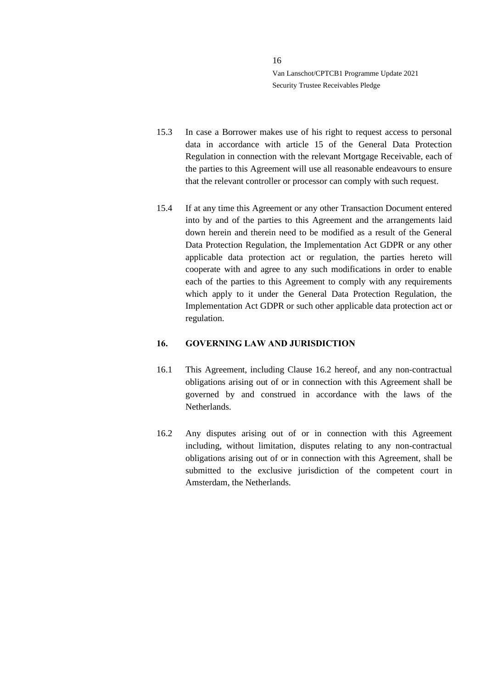- 15.3 In case a Borrower makes use of his right to request access to personal data in accordance with article 15 of the General Data Protection Regulation in connection with the relevant Mortgage Receivable, each of the parties to this Agreement will use all reasonable endeavours to ensure that the relevant controller or processor can comply with such request.
- 15.4 If at any time this Agreement or any other Transaction Document entered into by and of the parties to this Agreement and the arrangements laid down herein and therein need to be modified as a result of the General Data Protection Regulation, the Implementation Act GDPR or any other applicable data protection act or regulation, the parties hereto will cooperate with and agree to any such modifications in order to enable each of the parties to this Agreement to comply with any requirements which apply to it under the General Data Protection Regulation, the Implementation Act GDPR or such other applicable data protection act or regulation.

#### <span id="page-15-0"></span>**16. GOVERNING LAW AND JURISDICTION**

- 16.1 This Agreement, including Clause [16.2](#page-15-1) hereof, and any non-contractual obligations arising out of or in connection with this Agreement shall be governed by and construed in accordance with the laws of the Netherlands.
- <span id="page-15-1"></span>16.2 Any disputes arising out of or in connection with this Agreement including, without limitation, disputes relating to any non-contractual obligations arising out of or in connection with this Agreement, shall be submitted to the exclusive jurisdiction of the competent court in Amsterdam, the Netherlands.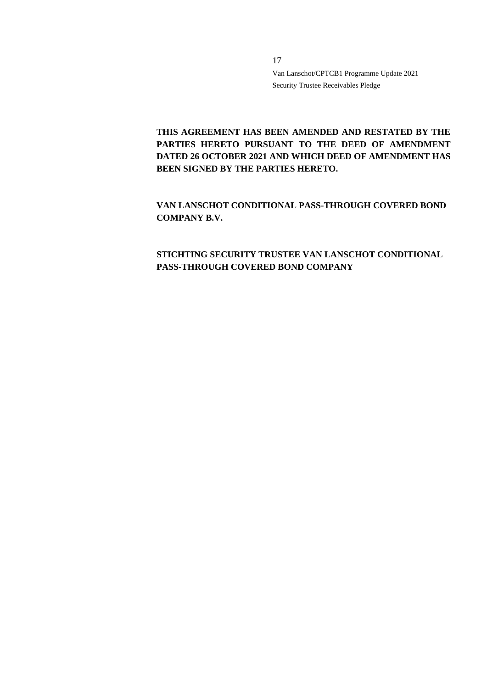**THIS AGREEMENT HAS BEEN AMENDED AND RESTATED BY THE PARTIES HERETO PURSUANT TO THE DEED OF AMENDMENT DATED 26 OCTOBER 2021 AND WHICH DEED OF AMENDMENT HAS BEEN SIGNED BY THE PARTIES HERETO.**

**VAN LANSCHOT CONDITIONAL PASS-THROUGH COVERED BOND COMPANY B.V.**

## **STICHTING SECURITY TRUSTEE VAN LANSCHOT CONDITIONAL PASS-THROUGH COVERED BOND COMPANY**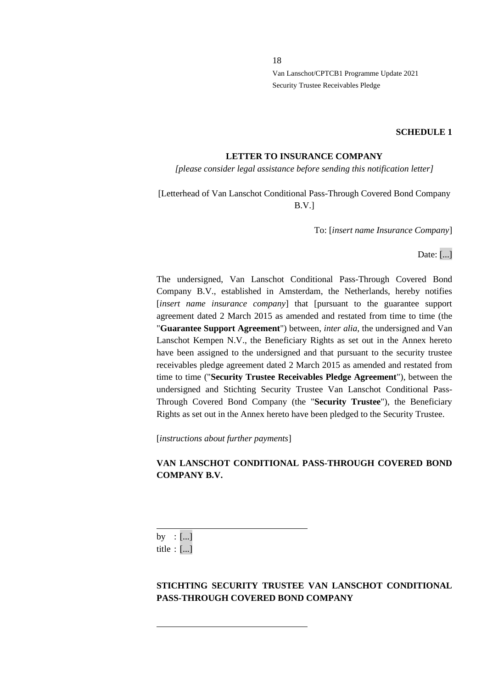#### **SCHEDULE 1**

#### **LETTER TO INSURANCE COMPANY**

*[please consider legal assistance before sending this notification letter]*

## [Letterhead of Van Lanschot Conditional Pass-Through Covered Bond Company B.V.]

To: [*insert name Insurance Company*]

Date: [...]

The undersigned, Van Lanschot Conditional Pass-Through Covered Bond Company B.V., established in Amsterdam, the Netherlands, hereby notifies [*insert name insurance company*] that [pursuant to the guarantee support agreement dated 2 March 2015 as amended and restated from time to time (the "**Guarantee Support Agreement**") between, *inter alia*, the undersigned and Van Lanschot Kempen N.V., the Beneficiary Rights as set out in the Annex hereto have been assigned to the undersigned and that pursuant to the security trustee receivables pledge agreement dated 2 March 2015 as amended and restated from time to time ("**Security Trustee Receivables Pledge Agreement**"), between the undersigned and Stichting Security Trustee Van Lanschot Conditional Pass-Through Covered Bond Company (the "**Security Trustee**"), the Beneficiary Rights as set out in the Annex hereto have been pledged to the Security Trustee.

[*instructions about further payments*]

## **VAN LANSCHOT CONDITIONAL PASS-THROUGH COVERED BOND COMPANY B.V.**

by : [...] title : [...]

## **STICHTING SECURITY TRUSTEE VAN LANSCHOT CONDITIONAL PASS-THROUGH COVERED BOND COMPANY**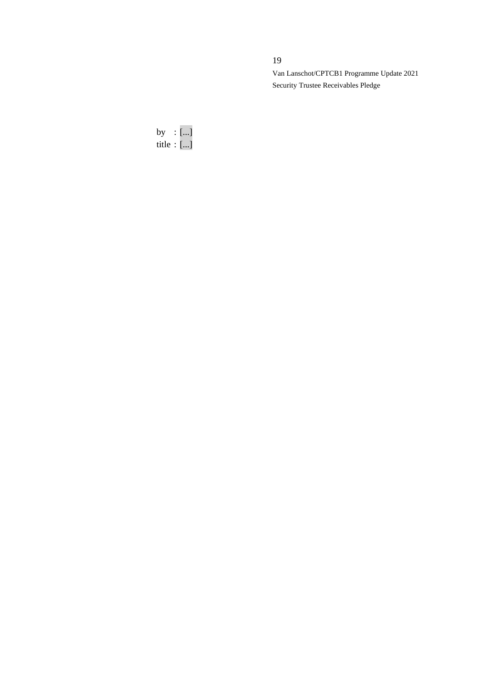## 19

Van Lanschot/CPTCB1 Programme Update 2021 Security Trustee Receivables Pledge

by : [...] title : [...]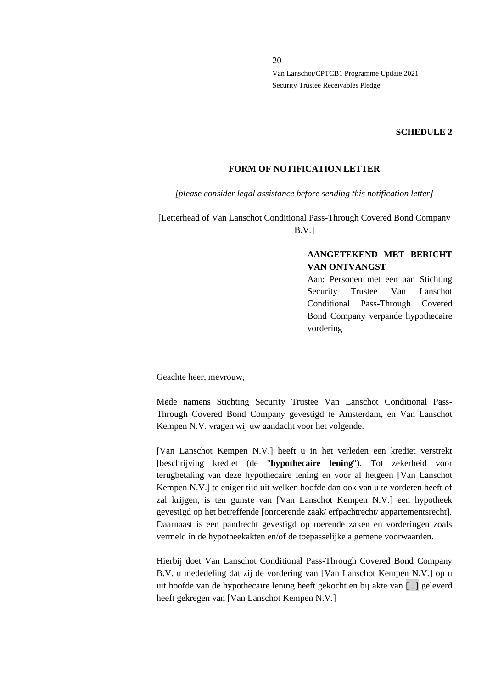#### **SCHEDULE 2**

#### **FORM OF NOTIFICATION LETTER**

*[please consider legal assistance before sending this notification letter]*

[Letterhead of Van Lanschot Conditional Pass-Through Covered Bond Company B.V.]

## **AANGETEKEND MET BERICHT VAN ONTVANGST**

Aan: Personen met een aan Stichting Security Trustee Van Lanschot Conditional Pass-Through Covered Bond Company verpande hypothecaire vordering

Geachte heer, mevrouw,

Mede namens Stichting Security Trustee Van Lanschot Conditional Pass-Through Covered Bond Company gevestigd te Amsterdam, en Van Lanschot Kempen N.V. vragen wij uw aandacht voor het volgende.

[Van Lanschot Kempen N.V.] heeft u in het verleden een krediet verstrekt [beschrijving krediet (de "**hypothecaire lening**"). Tot zekerheid voor terugbetaling van deze hypothecaire lening en voor al hetgeen [Van Lanschot Kempen N.V.] te eniger tijd uit welken hoofde dan ook van u te vorderen heeft of zal krijgen, is ten gunste van [Van Lanschot Kempen N.V.] een hypotheek gevestigd op het betreffende [onroerende zaak/ erfpachtrecht/ appartementsrecht]. Daarnaast is een pandrecht gevestigd op roerende zaken en vorderingen zoals vermeld in de hypotheekakten en/of de toepasselijke algemene voorwaarden.

Hierbij doet Van Lanschot Conditional Pass-Through Covered Bond Company B.V. u mededeling dat zij de vordering van [Van Lanschot Kempen N.V.] op u uit hoofde van de hypothecaire lening heeft gekocht en bij akte van [...] geleverd heeft gekregen van [Van Lanschot Kempen N.V.]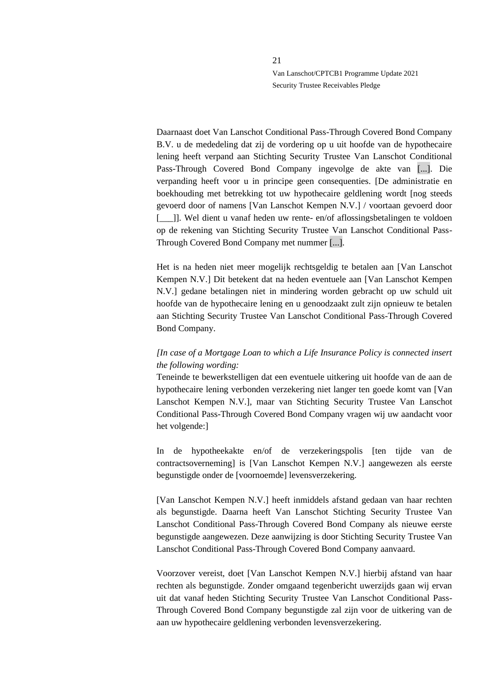Daarnaast doet Van Lanschot Conditional Pass-Through Covered Bond Company B.V. u de mededeling dat zij de vordering op u uit hoofde van de hypothecaire lening heeft verpand aan Stichting Security Trustee Van Lanschot Conditional Pass-Through Covered Bond Company ingevolge de akte van [...]. Die verpanding heeft voor u in principe geen consequenties. [De administratie en boekhouding met betrekking tot uw hypothecaire geldlening wordt [nog steeds gevoerd door of namens [Van Lanschot Kempen N.V.] / voortaan gevoerd door [\_\_\_]]. Wel dient u vanaf heden uw rente- en/of aflossingsbetalingen te voldoen op de rekening van Stichting Security Trustee Van Lanschot Conditional Pass-Through Covered Bond Company met nummer [...].

Het is na heden niet meer mogelijk rechtsgeldig te betalen aan [Van Lanschot Kempen N.V.] Dit betekent dat na heden eventuele aan [Van Lanschot Kempen N.V.] gedane betalingen niet in mindering worden gebracht op uw schuld uit hoofde van de hypothecaire lening en u genoodzaakt zult zijn opnieuw te betalen aan Stichting Security Trustee Van Lanschot Conditional Pass-Through Covered Bond Company.

## *[In case of a Mortgage Loan to which a Life Insurance Policy is connected insert the following wording:*

Teneinde te bewerkstelligen dat een eventuele uitkering uit hoofde van de aan de hypothecaire lening verbonden verzekering niet langer ten goede komt van [Van Lanschot Kempen N.V.], maar van Stichting Security Trustee Van Lanschot Conditional Pass-Through Covered Bond Company vragen wij uw aandacht voor het volgende:]

In de hypotheekakte en/of de verzekeringspolis [ten tijde van de contractsoverneming] is [Van Lanschot Kempen N.V.] aangewezen als eerste begunstigde onder de [voornoemde] levensverzekering.

[Van Lanschot Kempen N.V.] heeft inmiddels afstand gedaan van haar rechten als begunstigde. Daarna heeft Van Lanschot Stichting Security Trustee Van Lanschot Conditional Pass-Through Covered Bond Company als nieuwe eerste begunstigde aangewezen. Deze aanwijzing is door Stichting Security Trustee Van Lanschot Conditional Pass-Through Covered Bond Company aanvaard.

Voorzover vereist, doet [Van Lanschot Kempen N.V.] hierbij afstand van haar rechten als begunstigde. Zonder omgaand tegenbericht uwerzijds gaan wij ervan uit dat vanaf heden Stichting Security Trustee Van Lanschot Conditional Pass-Through Covered Bond Company begunstigde zal zijn voor de uitkering van de aan uw hypothecaire geldlening verbonden levensverzekering.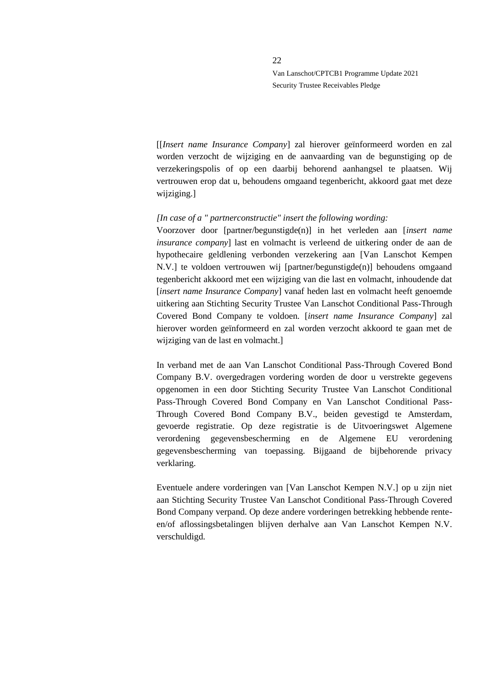[[*Insert name Insurance Company*] zal hierover geïnformeerd worden en zal worden verzocht de wijziging en de aanvaarding van de begunstiging op de verzekeringspolis of op een daarbij behorend aanhangsel te plaatsen. Wij vertrouwen erop dat u, behoudens omgaand tegenbericht, akkoord gaat met deze wijziging.]

#### *[In case of a " partnerconstructie" insert the following wording:*

Voorzover door [partner/begunstigde(n)] in het verleden aan [*insert name insurance company*] last en volmacht is verleend de uitkering onder de aan de hypothecaire geldlening verbonden verzekering aan [Van Lanschot Kempen N.V.] te voldoen vertrouwen wij [partner/begunstigde(n)] behoudens omgaand tegenbericht akkoord met een wijziging van die last en volmacht, inhoudende dat [*insert name Insurance Company*] vanaf heden last en volmacht heeft genoemde uitkering aan Stichting Security Trustee Van Lanschot Conditional Pass-Through Covered Bond Company te voldoen. [*insert name Insurance Company*] zal hierover worden geïnformeerd en zal worden verzocht akkoord te gaan met de wijziging van de last en volmacht.]

In verband met de aan Van Lanschot Conditional Pass-Through Covered Bond Company B.V. overgedragen vordering worden de door u verstrekte gegevens opgenomen in een door Stichting Security Trustee Van Lanschot Conditional Pass-Through Covered Bond Company en Van Lanschot Conditional Pass-Through Covered Bond Company B.V., beiden gevestigd te Amsterdam, gevoerde registratie. Op deze registratie is de Uitvoeringswet Algemene verordening gegevensbescherming en de Algemene EU verordening gegevensbescherming van toepassing. Bijgaand de bijbehorende privacy verklaring.

Eventuele andere vorderingen van [Van Lanschot Kempen N.V.] op u zijn niet aan Stichting Security Trustee Van Lanschot Conditional Pass-Through Covered Bond Company verpand. Op deze andere vorderingen betrekking hebbende renteen/of aflossingsbetalingen blijven derhalve aan Van Lanschot Kempen N.V. verschuldigd.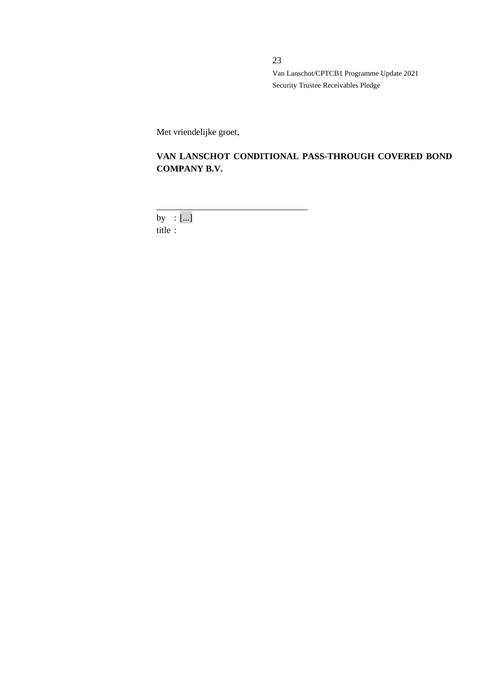Met vriendelijke groet,

# **VAN LANSCHOT CONDITIONAL PASS-THROUGH COVERED BOND COMPANY B.V.**

by : [...]

title :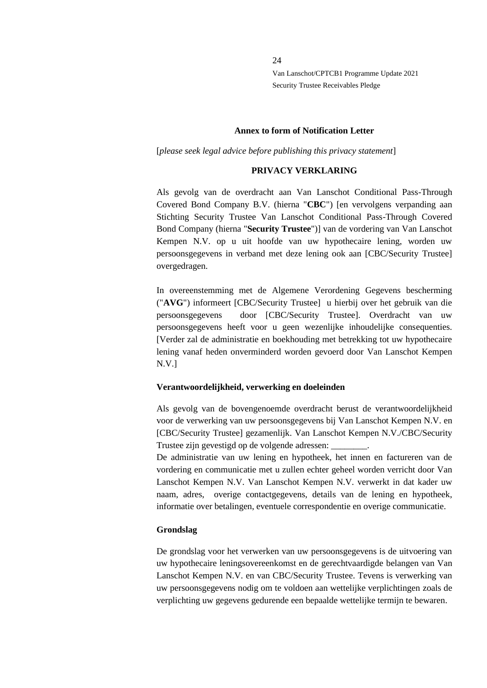#### **Annex to form of Notification Letter**

[*please seek legal advice before publishing this privacy statement*]

#### **PRIVACY VERKLARING**

Als gevolg van de overdracht aan Van Lanschot Conditional Pass-Through Covered Bond Company B.V. (hierna "**CBC**") [en vervolgens verpanding aan Stichting Security Trustee Van Lanschot Conditional Pass-Through Covered Bond Company (hierna "**Security Trustee**")] van de vordering van Van Lanschot Kempen N.V. op u uit hoofde van uw hypothecaire lening, worden uw persoonsgegevens in verband met deze lening ook aan [CBC/Security Trustee] overgedragen.

In overeenstemming met de Algemene Verordening Gegevens bescherming ("**AVG**") informeert [CBC/Security Trustee] u hierbij over het gebruik van die persoonsgegevens door [CBC/Security Trustee]. Overdracht van uw persoonsgegevens heeft voor u geen wezenlijke inhoudelijke consequenties. [Verder zal de administratie en boekhouding met betrekking tot uw hypothecaire lening vanaf heden onverminderd worden gevoerd door Van Lanschot Kempen N.V.]

#### **Verantwoordelijkheid, verwerking en doeleinden**

Als gevolg van de bovengenoemde overdracht berust de verantwoordelijkheid voor de verwerking van uw persoonsgegevens bij Van Lanschot Kempen N.V. en [CBC/Security Trustee] gezamenlijk. Van Lanschot Kempen N.V./CBC/Security Trustee zijn gevestigd op de volgende adressen: \_\_\_\_\_\_\_\_.

De administratie van uw lening en hypotheek, het innen en factureren van de vordering en communicatie met u zullen echter geheel worden verricht door Van Lanschot Kempen N.V. Van Lanschot Kempen N.V. verwerkt in dat kader uw naam, adres, overige contactgegevens, details van de lening en hypotheek, informatie over betalingen, eventuele correspondentie en overige communicatie.

#### **Grondslag**

De grondslag voor het verwerken van uw persoonsgegevens is de uitvoering van uw hypothecaire leningsovereenkomst en de gerechtvaardigde belangen van Van Lanschot Kempen N.V. en van CBC/Security Trustee. Tevens is verwerking van uw persoonsgegevens nodig om te voldoen aan wettelijke verplichtingen zoals de verplichting uw gegevens gedurende een bepaalde wettelijke termijn te bewaren.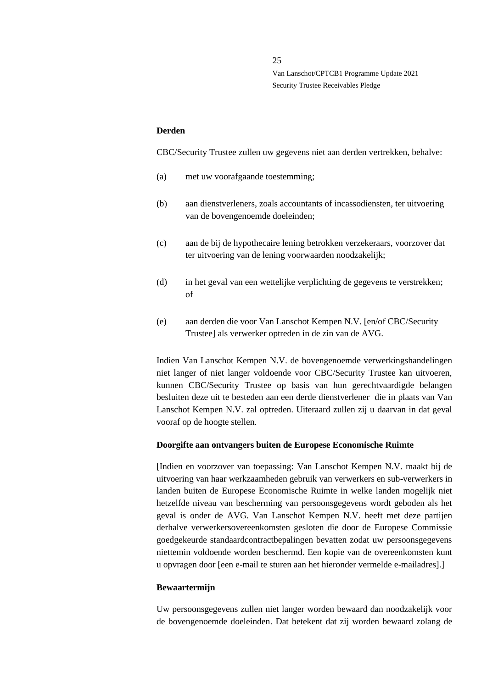#### **Derden**

CBC/Security Trustee zullen uw gegevens niet aan derden vertrekken, behalve:

- (a) met uw voorafgaande toestemming;
- (b) aan dienstverleners, zoals accountants of incassodiensten, ter uitvoering van de bovengenoemde doeleinden;
- (c) aan de bij de hypothecaire lening betrokken verzekeraars, voorzover dat ter uitvoering van de lening voorwaarden noodzakelijk;
- (d) in het geval van een wettelijke verplichting de gegevens te verstrekken; of
- (e) aan derden die voor Van Lanschot Kempen N.V. [en/of CBC/Security Trustee] als verwerker optreden in de zin van de AVG.

Indien Van Lanschot Kempen N.V. de bovengenoemde verwerkingshandelingen niet langer of niet langer voldoende voor CBC/Security Trustee kan uitvoeren, kunnen CBC/Security Trustee op basis van hun gerechtvaardigde belangen besluiten deze uit te besteden aan een derde dienstverlener die in plaats van Van Lanschot Kempen N.V. zal optreden. Uiteraard zullen zij u daarvan in dat geval vooraf op de hoogte stellen.

#### **Doorgifte aan ontvangers buiten de Europese Economische Ruimte**

[Indien en voorzover van toepassing: Van Lanschot Kempen N.V. maakt bij de uitvoering van haar werkzaamheden gebruik van verwerkers en sub-verwerkers in landen buiten de Europese Economische Ruimte in welke landen mogelijk niet hetzelfde niveau van bescherming van persoonsgegevens wordt geboden als het geval is onder de AVG. Van Lanschot Kempen N.V. heeft met deze partijen derhalve verwerkersovereenkomsten gesloten die door de Europese Commissie goedgekeurde standaardcontractbepalingen bevatten zodat uw persoonsgegevens niettemin voldoende worden beschermd. Een kopie van de overeenkomsten kunt u opvragen door [een e-mail te sturen aan het hieronder vermelde e-mailadres].]

#### **Bewaartermijn**

Uw persoonsgegevens zullen niet langer worden bewaard dan noodzakelijk voor de bovengenoemde doeleinden. Dat betekent dat zij worden bewaard zolang de